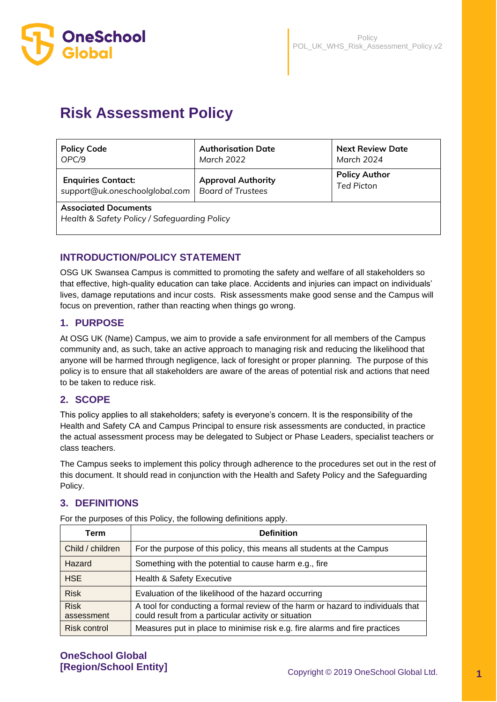

# **Risk Assessment Policy**

| <b>Policy Code</b>                                                          | <b>Authorisation Date</b> | <b>Next Review Date</b> |  |  |
|-----------------------------------------------------------------------------|---------------------------|-------------------------|--|--|
| OPC/9                                                                       | March 2022                | March 2024              |  |  |
| <b>Enquiries Contact:</b>                                                   | <b>Approval Authority</b> | <b>Policy Author</b>    |  |  |
| support@uk.oneschoolglobal.com                                              | <b>Board of Trustees</b>  | <b>Ted Picton</b>       |  |  |
| <b>Associated Documents</b><br>Health & Safety Policy / Safeguarding Policy |                           |                         |  |  |

# **INTRODUCTION/POLICY STATEMENT**

OSG UK Swansea Campus is committed to promoting the safety and welfare of all stakeholders so that effective, high-quality education can take place. Accidents and injuries can impact on individuals' lives, damage reputations and incur costs. Risk assessments make good sense and the Campus will focus on prevention, rather than reacting when things go wrong.

## **1. PURPOSE**

At OSG UK (Name) Campus, we aim to provide a safe environment for all members of the Campus community and, as such, take an active approach to managing risk and reducing the likelihood that anyone will be harmed through negligence, lack of foresight or proper planning. The purpose of this policy is to ensure that all stakeholders are aware of the areas of potential risk and actions that need to be taken to reduce risk.

# **2. SCOPE**

This policy applies to all stakeholders; safety is everyone's concern. It is the responsibility of the Health and Safety CA and Campus Principal to ensure risk assessments are conducted, in practice the actual assessment process may be delegated to Subject or Phase Leaders, specialist teachers or class teachers.

The Campus seeks to implement this policy through adherence to the procedures set out in the rest of this document. It should read in conjunction with the Health and Safety Policy and the Safeguarding Policy.

# **3. DEFINITIONS**

| Term                      | <b>Definition</b>                                                                                                                       |
|---------------------------|-----------------------------------------------------------------------------------------------------------------------------------------|
| Child / children          | For the purpose of this policy, this means all students at the Campus                                                                   |
| Hazard                    | Something with the potential to cause harm e.g., fire                                                                                   |
| <b>HSE</b>                | <b>Health &amp; Safety Executive</b>                                                                                                    |
| <b>Risk</b>               | Evaluation of the likelihood of the hazard occurring                                                                                    |
| <b>Risk</b><br>assessment | A tool for conducting a formal review of the harm or hazard to individuals that<br>could result from a particular activity or situation |
| Risk control              | Measures put in place to minimise risk e.g. fire alarms and fire practices                                                              |

For the purposes of this Policy, the following definitions apply.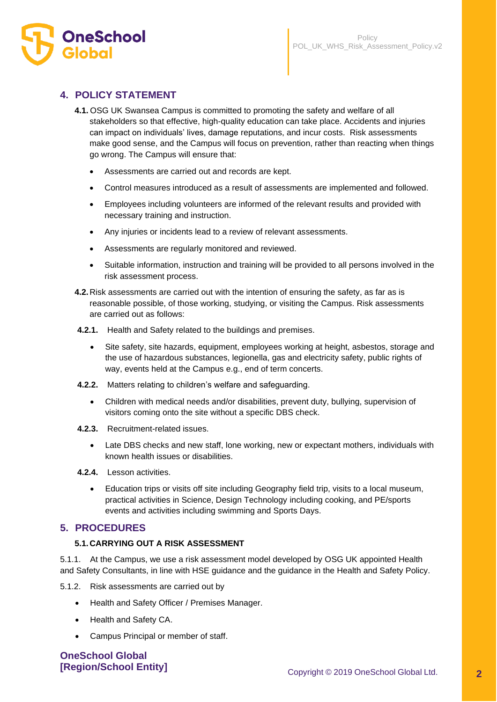

# **4. POLICY STATEMENT**

- **4.1.** OSG UK Swansea Campus is committed to promoting the safety and welfare of all stakeholders so that effective, high-quality education can take place. Accidents and injuries can impact on individuals' lives, damage reputations, and incur costs. Risk assessments make good sense, and the Campus will focus on prevention, rather than reacting when things go wrong. The Campus will ensure that:
	- Assessments are carried out and records are kept.
	- Control measures introduced as a result of assessments are implemented and followed.
	- Employees including volunteers are informed of the relevant results and provided with necessary training and instruction.
	- Any injuries or incidents lead to a review of relevant assessments.
	- Assessments are regularly monitored and reviewed.
	- Suitable information, instruction and training will be provided to all persons involved in the risk assessment process.
- **4.2.**Risk assessments are carried out with the intention of ensuring the safety, as far as is reasonable possible, of those working, studying, or visiting the Campus. Risk assessments are carried out as follows:
- **4.2.1.** Health and Safety related to the buildings and premises.
	- Site safety, site hazards, equipment, employees working at height, asbestos, storage and the use of hazardous substances, legionella, gas and electricity safety, public rights of way, events held at the Campus e.g., end of term concerts.
- **4.2.2.** Matters relating to children's welfare and safeguarding.
	- Children with medical needs and/or disabilities, prevent duty, bullying, supervision of visitors coming onto the site without a specific DBS check.
- **4.2.3.** Recruitment-related issues.
	- Late DBS checks and new staff, lone working, new or expectant mothers, individuals with known health issues or disabilities.
- **4.2.4.** Lesson activities.
	- Education trips or visits off site including Geography field trip, visits to a local museum, practical activities in Science, Design Technology including cooking, and PE/sports events and activities including swimming and Sports Days.

## **5. PROCEDURES**

## **5.1.CARRYING OUT A RISK ASSESSMENT**

5.1.1. At the Campus, we use a risk assessment model developed by OSG UK appointed Health and Safety Consultants, in line with HSE guidance and the guidance in the Health and Safety Policy.

5.1.2. Risk assessments are carried out by

- Health and Safety Officer / Premises Manager.
- Health and Safety CA.
- Campus Principal or member of staff.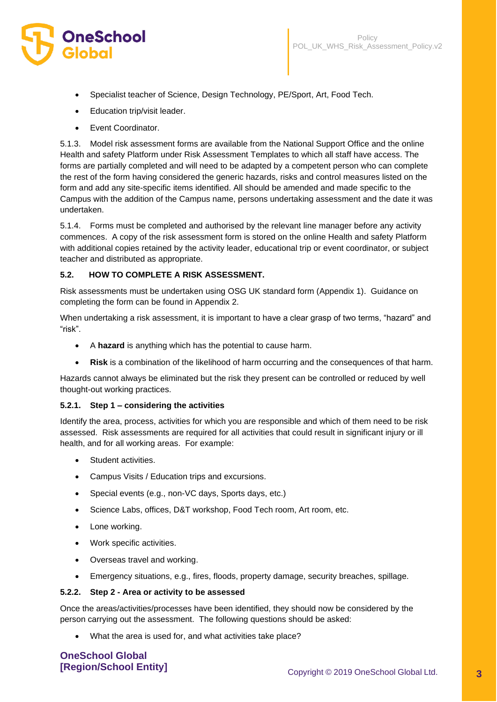

- Specialist teacher of Science, Design Technology, PE/Sport, Art, Food Tech.
- Education trip/visit leader.
- Event Coordinator.

5.1.3. Model risk assessment forms are available from the National Support Office and the online Health and safety Platform under Risk Assessment Templates to which all staff have access. The forms are partially completed and will need to be adapted by a competent person who can complete the rest of the form having considered the generic hazards, risks and control measures listed on the form and add any site-specific items identified. All should be amended and made specific to the Campus with the addition of the Campus name, persons undertaking assessment and the date it was undertaken.

5.1.4. Forms must be completed and authorised by the relevant line manager before any activity commences. A copy of the risk assessment form is stored on the online Health and safety Platform with additional copies retained by the activity leader, educational trip or event coordinator, or subject teacher and distributed as appropriate.

## **5.2. HOW TO COMPLETE A RISK ASSESSMENT.**

Risk assessments must be undertaken using OSG UK standard form (Appendix 1). Guidance on completing the form can be found in Appendix 2.

When undertaking a risk assessment, it is important to have a clear grasp of two terms, "hazard" and "risk".

- A **hazard** is anything which has the potential to cause harm.
- **Risk** is a combination of the likelihood of harm occurring and the consequences of that harm.

Hazards cannot always be eliminated but the risk they present can be controlled or reduced by well thought-out working practices.

## **5.2.1. Step 1 – considering the activities**

Identify the area, process, activities for which you are responsible and which of them need to be risk assessed. Risk assessments are required for all activities that could result in significant injury or ill health, and for all working areas. For example:

- Student activities.
- Campus Visits / Education trips and excursions.
- Special events (e.g., non-VC days, Sports days, etc.)
- Science Labs, offices, D&T workshop, Food Tech room, Art room, etc.
- Lone working.
- Work specific activities.
- Overseas travel and working.
- Emergency situations, e.g., fires, floods, property damage, security breaches, spillage.

#### **5.2.2. Step 2 - Area or activity to be assessed**

Once the areas/activities/processes have been identified, they should now be considered by the person carrying out the assessment. The following questions should be asked:

• What the area is used for, and what activities take place?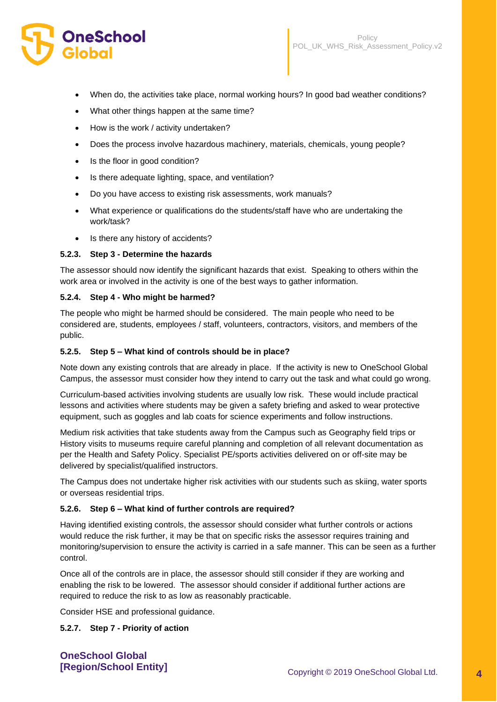- When do, the activities take place, normal working hours? In good bad weather conditions?
- What other things happen at the same time?
- How is the work / activity undertaken?
- Does the process involve hazardous machinery, materials, chemicals, young people?
- Is the floor in good condition?
- Is there adequate lighting, space, and ventilation?
- Do you have access to existing risk assessments, work manuals?
- What experience or qualifications do the students/staff have who are undertaking the work/task?
- Is there any history of accidents?

#### **5.2.3. Step 3 - Determine the hazards**

The assessor should now identify the significant hazards that exist. Speaking to others within the work area or involved in the activity is one of the best ways to gather information.

#### **5.2.4. Step 4 - Who might be harmed?**

The people who might be harmed should be considered. The main people who need to be considered are, students, employees / staff, volunteers, contractors, visitors, and members of the public.

#### **5.2.5. Step 5 – What kind of controls should be in place?**

Note down any existing controls that are already in place. If the activity is new to OneSchool Global Campus, the assessor must consider how they intend to carry out the task and what could go wrong.

Curriculum-based activities involving students are usually low risk. These would include practical lessons and activities where students may be given a safety briefing and asked to wear protective equipment, such as goggles and lab coats for science experiments and follow instructions.

Medium risk activities that take students away from the Campus such as Geography field trips or History visits to museums require careful planning and completion of all relevant documentation as per the Health and Safety Policy. Specialist PE/sports activities delivered on or off-site may be delivered by specialist/qualified instructors.

The Campus does not undertake higher risk activities with our students such as skiing, water sports or overseas residential trips.

#### **5.2.6. Step 6 – What kind of further controls are required?**

Having identified existing controls, the assessor should consider what further controls or actions would reduce the risk further, it may be that on specific risks the assessor requires training and monitoring/supervision to ensure the activity is carried in a safe manner. This can be seen as a further control.

Once all of the controls are in place, the assessor should still consider if they are working and enabling the risk to be lowered. The assessor should consider if additional further actions are required to reduce the risk to as low as reasonably practicable.

Consider HSE and professional guidance.

#### **5.2.7. Step 7 - Priority of action**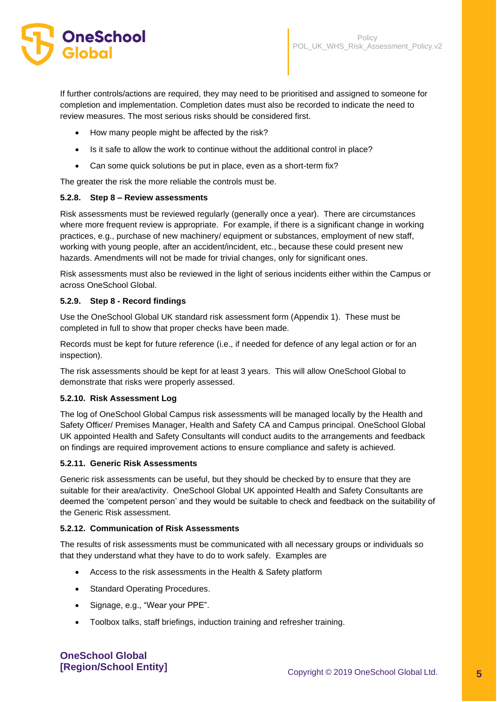

If further controls/actions are required, they may need to be prioritised and assigned to someone for completion and implementation. Completion dates must also be recorded to indicate the need to review measures. The most serious risks should be considered first.

- How many people might be affected by the risk?
- Is it safe to allow the work to continue without the additional control in place?
- Can some quick solutions be put in place, even as a short-term fix?

The greater the risk the more reliable the controls must be.

## **5.2.8. Step 8 – Review assessments**

Risk assessments must be reviewed regularly (generally once a year). There are circumstances where more frequent review is appropriate. For example, if there is a significant change in working practices, e.g., purchase of new machinery/ equipment or substances, employment of new staff, working with young people, after an accident/incident, etc., because these could present new hazards. Amendments will not be made for trivial changes, only for significant ones.

Risk assessments must also be reviewed in the light of serious incidents either within the Campus or across OneSchool Global.

#### **5.2.9. Step 8 - Record findings**

Use the OneSchool Global UK standard risk assessment form (Appendix 1). These must be completed in full to show that proper checks have been made.

Records must be kept for future reference (i.e., if needed for defence of any legal action or for an inspection).

The risk assessments should be kept for at least 3 years. This will allow OneSchool Global to demonstrate that risks were properly assessed.

#### **5.2.10. Risk Assessment Log**

The log of OneSchool Global Campus risk assessments will be managed locally by the Health and Safety Officer/ Premises Manager, Health and Safety CA and Campus principal. OneSchool Global UK appointed Health and Safety Consultants will conduct audits to the arrangements and feedback on findings are required improvement actions to ensure compliance and safety is achieved.

#### **5.2.11. Generic Risk Assessments**

Generic risk assessments can be useful, but they should be checked by to ensure that they are suitable for their area/activity. OneSchool Global UK appointed Health and Safety Consultants are deemed the 'competent person' and they would be suitable to check and feedback on the suitability of the Generic Risk assessment.

## **5.2.12. Communication of Risk Assessments**

The results of risk assessments must be communicated with all necessary groups or individuals so that they understand what they have to do to work safely. Examples are

- Access to the risk assessments in the Health & Safety platform
- Standard Operating Procedures.
- Signage, e.g., "Wear your PPE".
- Toolbox talks, staff briefings, induction training and refresher training.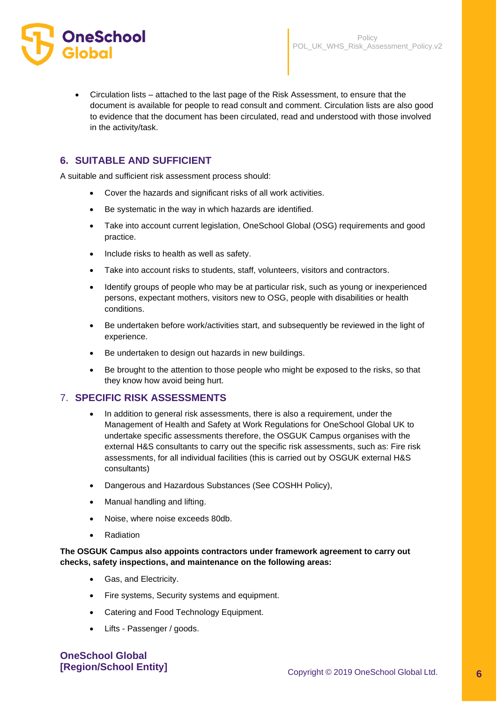

• Circulation lists – attached to the last page of the Risk Assessment, to ensure that the document is available for people to read consult and comment. Circulation lists are also good to evidence that the document has been circulated, read and understood with those involved in the activity/task.

# **6. SUITABLE AND SUFFICIENT**

A suitable and sufficient risk assessment process should:

- Cover the hazards and significant risks of all work activities.
- Be systematic in the way in which hazards are identified.
- Take into account current legislation, OneSchool Global (OSG) requirements and good practice.
- Include risks to health as well as safety.
- Take into account risks to students, staff, volunteers, visitors and contractors.
- Identify groups of people who may be at particular risk, such as young or inexperienced persons, expectant mothers, visitors new to OSG, people with disabilities or health conditions.
- Be undertaken before work/activities start, and subsequently be reviewed in the light of experience.
- Be undertaken to design out hazards in new buildings.
- Be brought to the attention to those people who might be exposed to the risks, so that they know how avoid being hurt.

## 7. **SPECIFIC RISK ASSESSMENTS**

- In addition to general risk assessments, there is also a requirement, under the Management of Health and Safety at Work Regulations for OneSchool Global UK to undertake specific assessments therefore, the OSGUK Campus organises with the external H&S consultants to carry out the specific risk assessments, such as: Fire risk assessments, for all individual facilities (this is carried out by OSGUK external H&S consultants)
- Dangerous and Hazardous Substances (See COSHH Policy),
- Manual handling and lifting.
- Noise, where noise exceeds 80db.
- **Radiation**

## **The OSGUK Campus also appoints contractors under framework agreement to carry out checks, safety inspections, and maintenance on the following areas:**

- Gas, and Electricity.
- Fire systems, Security systems and equipment.
- Catering and Food Technology Equipment.
- Lifts Passenger / goods.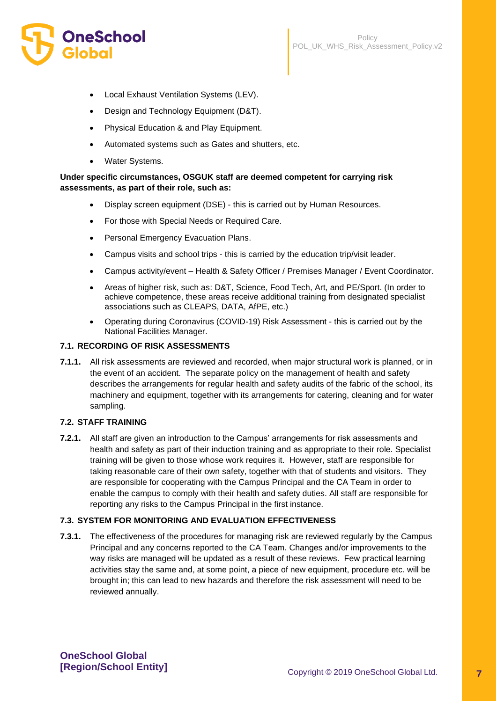

- Local Exhaust Ventilation Systems (LEV).
- Design and Technology Equipment (D&T).
- Physical Education & and Play Equipment.
- Automated systems such as Gates and shutters, etc.
- Water Systems.

## **Under specific circumstances, OSGUK staff are deemed competent for carrying risk assessments, as part of their role, such as:**

- Display screen equipment (DSE) this is carried out by Human Resources.
- For those with Special Needs or Required Care.
- Personal Emergency Evacuation Plans.
- Campus visits and school trips this is carried by the education trip/visit leader.
- Campus activity/event Health & Safety Officer / Premises Manager / Event Coordinator.
- Areas of higher risk, such as: D&T, Science, Food Tech, Art, and PE/Sport. (In order to achieve competence, these areas receive additional training from designated specialist associations such as CLEAPS, DATA, AfPE, etc.)
- Operating during Coronavirus (COVID-19) Risk Assessment this is carried out by the National Facilities Manager.

## **7.1. RECORDING OF RISK ASSESSMENTS**

**7.1.1.** All risk assessments are reviewed and recorded, when major structural work is planned, or in the event of an accident. The separate policy on the management of health and safety describes the arrangements for regular health and safety audits of the fabric of the school, its machinery and equipment, together with its arrangements for catering, cleaning and for water sampling.

## **7.2. STAFF TRAINING**

**7.2.1.** All staff are given an introduction to the Campus' arrangements for risk assessments and health and safety as part of their induction training and as appropriate to their role. Specialist training will be given to those whose work requires it. However, staff are responsible for taking reasonable care of their own safety, together with that of students and visitors. They are responsible for cooperating with the Campus Principal and the CA Team in order to enable the campus to comply with their health and safety duties. All staff are responsible for reporting any risks to the Campus Principal in the first instance.

## **7.3. SYSTEM FOR MONITORING AND EVALUATION EFFECTIVENESS**

**7.3.1.** The effectiveness of the procedures for managing risk are reviewed regularly by the Campus Principal and any concerns reported to the CA Team. Changes and/or improvements to the way risks are managed will be updated as a result of these reviews. Few practical learning activities stay the same and, at some point, a piece of new equipment, procedure etc. will be brought in; this can lead to new hazards and therefore the risk assessment will need to be reviewed annually.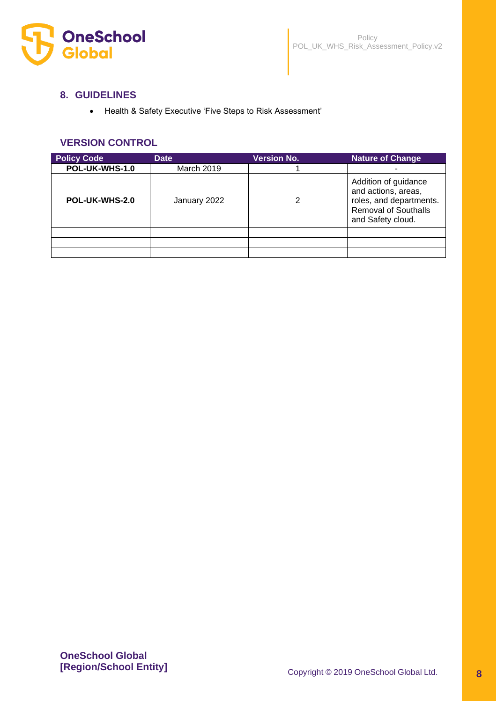

## **8. GUIDELINES**

• Health & Safety Executive 'Five Steps to Risk Assessment'

# **VERSION CONTROL**

| <b>Policy Code</b> | <b>Date</b>       | <b>Version No.</b> | <b>Nature of Change</b>                                                                                                    |
|--------------------|-------------------|--------------------|----------------------------------------------------------------------------------------------------------------------------|
| POL-UK-WHS-1.0     | <b>March 2019</b> |                    |                                                                                                                            |
| POL-UK-WHS-2.0     | January 2022      | 2                  | Addition of guidance<br>and actions, areas,<br>roles, and departments.<br><b>Removal of Southalls</b><br>and Safety cloud. |
|                    |                   |                    |                                                                                                                            |
|                    |                   |                    |                                                                                                                            |
|                    |                   |                    |                                                                                                                            |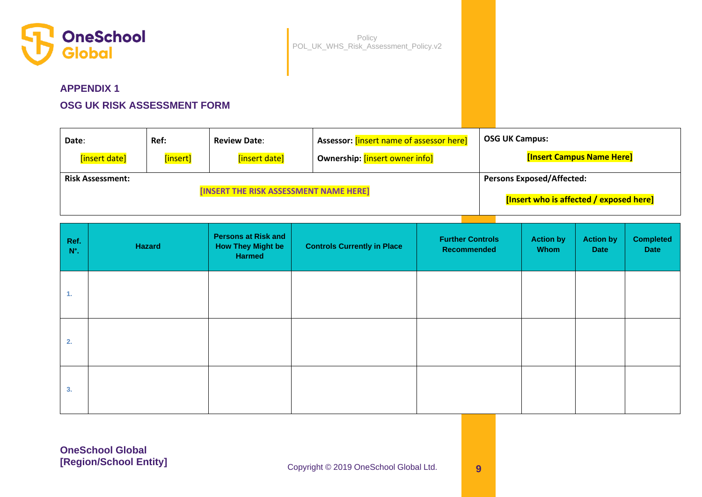

# **APPENDIX 1**

# **OSG UK RISK ASSESSMENT FORM**

| Date:                   | Ref:     | <b>Review Date:</b>                    | <sup>1</sup> Assessor: [insert name of assessor here] | <b>OSG UK Campus:</b>                   |
|-------------------------|----------|----------------------------------------|-------------------------------------------------------|-----------------------------------------|
| [insert date]           | [insert] | [insert date]                          | Ownership: [insert owner info]                        | <b>[Insert Campus Name Here]</b>        |
| <b>Risk Assessment:</b> |          |                                        |                                                       | <b>Persons Exposed/Affected:</b>        |
|                         |          | [INSERT THE RISK ASSESSMENT NAME HERE] |                                                       | [Insert who is affected / exposed here] |

| Ref.<br>$N^\circ$ . | Hazard | <b>Persons at Risk and</b><br><b>How They Might be</b><br>Harmed | <b>Controls Currently in Place</b> | <b>Further Controls</b><br>Recommended | <b>Action by</b><br>Whom | <b>Action by</b><br><b>Date</b> | <b>Completed</b><br>Date |
|---------------------|--------|------------------------------------------------------------------|------------------------------------|----------------------------------------|--------------------------|---------------------------------|--------------------------|
| 1.                  |        |                                                                  |                                    |                                        |                          |                                 |                          |
| 2.                  |        |                                                                  |                                    |                                        |                          |                                 |                          |
| 3.                  |        |                                                                  |                                    |                                        |                          |                                 |                          |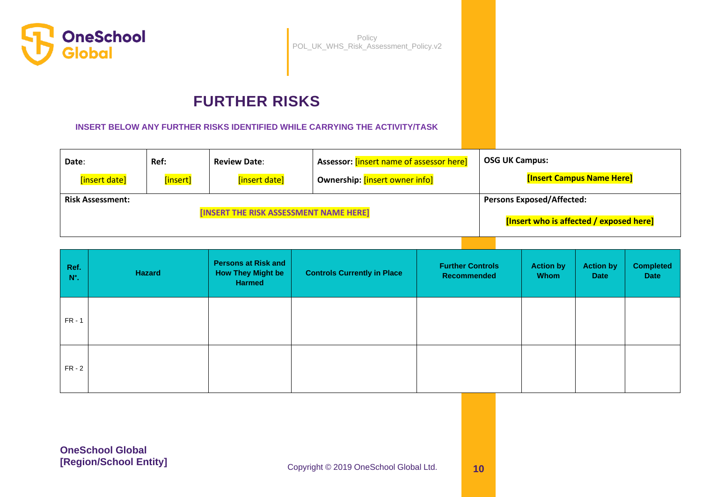

# **FURTHER RISKS**

**INSERT BELOW ANY FURTHER RISKS IDENTIFIED WHILE CARRYING THE ACTIVITY/TASK**

| Date:                   | Ref:     | <b>Review Date:</b>                    | Assessor: [insert name of assessor here] | <b>OSG UK Campus:</b>                   |
|-------------------------|----------|----------------------------------------|------------------------------------------|-----------------------------------------|
| [insert date]           | [insert] | [insert date]                          | Ownership: [insert owner info]           | <b>[Insert Campus Name Here]</b>        |
| <b>Risk Assessment:</b> |          |                                        |                                          | <b>Persons Exposed/Affected:</b>        |
|                         |          | [INSERT THE RISK ASSESSMENT NAME HERE] |                                          | [Insert who is affected / exposed here] |

| Ref.<br>$N^\circ$ . | <b>Hazard</b> | <b>Persons at Risk and</b><br><b>How They Might be</b><br><b>Harmed</b> | <b>Controls Currently in Place</b> | <b>Further Controls</b><br>Recommended | <b>Action by</b><br><b>Whom</b> | <b>Action by</b><br><b>Date</b> | <b>Completed</b><br><b>Date</b> |
|---------------------|---------------|-------------------------------------------------------------------------|------------------------------------|----------------------------------------|---------------------------------|---------------------------------|---------------------------------|
| $FR - 1$            |               |                                                                         |                                    |                                        |                                 |                                 |                                 |
| $FR - 2$            |               |                                                                         |                                    |                                        |                                 |                                 |                                 |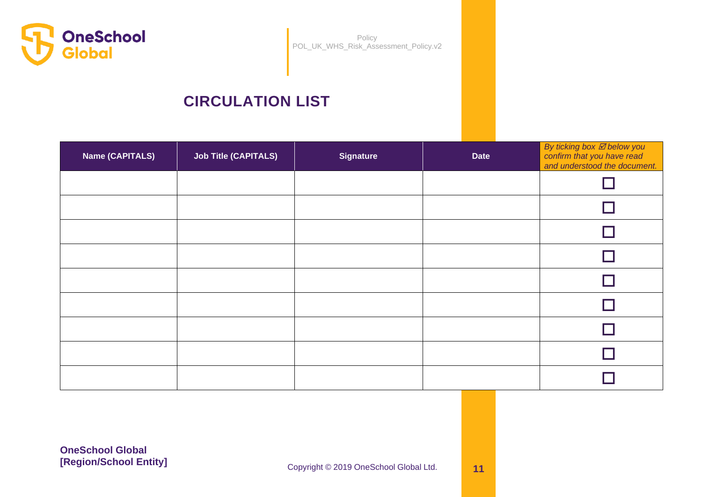

# **CIRCULATION LIST**

| <b>Name (CAPITALS)</b> | <b>Job Title (CAPITALS)</b> | <b>Signature</b> | <b>Date</b> | By ticking box <b>Ø</b> below you<br>confirm that you have read<br>and understood the document. |
|------------------------|-----------------------------|------------------|-------------|-------------------------------------------------------------------------------------------------|
|                        |                             |                  |             |                                                                                                 |
|                        |                             |                  |             |                                                                                                 |
|                        |                             |                  |             |                                                                                                 |
|                        |                             |                  |             |                                                                                                 |
|                        |                             |                  |             |                                                                                                 |
|                        |                             |                  |             |                                                                                                 |
|                        |                             |                  |             |                                                                                                 |
|                        |                             |                  |             |                                                                                                 |
|                        |                             |                  |             |                                                                                                 |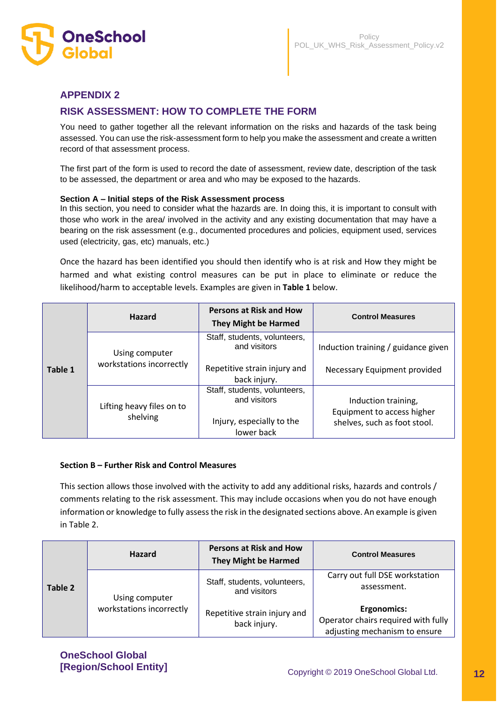

# **APPENDIX 2**

# **RISK ASSESSMENT: HOW TO COMPLETE THE FORM**

You need to gather together all the relevant information on the risks and hazards of the task being assessed. You can use the risk-assessment form to help you make the assessment and create a written record of that assessment process.

The first part of the form is used to record the date of assessment, review date, description of the task to be assessed, the department or area and who may be exposed to the hazards.

#### **Section A – Initial steps of the Risk Assessment process**

In this section, you need to consider what the hazards are. In doing this, it is important to consult with those who work in the area/ involved in the activity and any existing documentation that may have a bearing on the risk assessment (e.g., documented procedures and policies, equipment used, services used (electricity, gas, etc) manuals, etc.)

Once the hazard has been identified you should then identify who is at risk and How they might be harmed and what existing control measures can be put in place to eliminate or reduce the likelihood/harm to acceptable levels. Examples are given in **Table 1** below.

|         | <b>Hazard</b>                              | <b>Persons at Risk and How</b><br><b>They Might be Harmed</b>                                | <b>Control Measures</b>                                                           |
|---------|--------------------------------------------|----------------------------------------------------------------------------------------------|-----------------------------------------------------------------------------------|
| Table 1 | Using computer<br>workstations incorrectly | Staff, students, volunteers,<br>and visitors<br>Repetitive strain injury and<br>back injury. | Induction training / guidance given<br>Necessary Equipment provided               |
|         | Lifting heavy files on to<br>shelving      | Staff, students, volunteers,<br>and visitors<br>Injury, especially to the<br>lower back      | Induction training,<br>Equipment to access higher<br>shelves, such as foot stool. |

#### **Section B – Further Risk and Control Measures**

This section allows those involved with the activity to add any additional risks, hazards and controls / comments relating to the risk assessment. This may include occasions when you do not have enough information or knowledge to fully assess the risk in the designated sections above. An example is given in Table 2.

|         | <b>Hazard</b>                              | <b>Persons at Risk and How</b><br><b>They Might be Harmed</b> | <b>Control Measures</b>                                                                    |
|---------|--------------------------------------------|---------------------------------------------------------------|--------------------------------------------------------------------------------------------|
| Table 2 | Using computer<br>workstations incorrectly | Staff, students, volunteers,<br>and visitors                  | Carry out full DSE workstation<br>assessment.                                              |
|         |                                            | Repetitive strain injury and<br>back injury.                  | <b>Ergonomics:</b><br>Operator chairs required with fully<br>adjusting mechanism to ensure |

**OneSchool Global<br>
[Region/School Entity]**